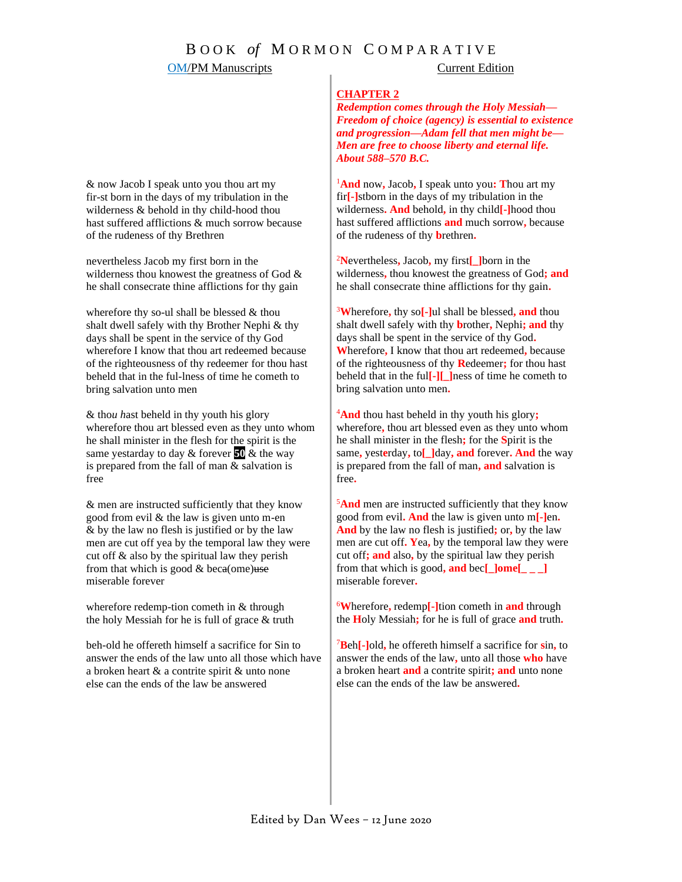## **OM/PM Manuscripts** Current Edition

& now Jacob I speak unto you thou art my fir-st born in the days of my tribulation in the wilderness & behold in thy child-hood thou hast suffered afflictions & much sorrow because of the rudeness of thy Brethren

nevertheless Jacob my first born in the wilderness thou knowest the greatness of God & he shall consecrate thine afflictions for thy gain

wherefore thy so-ul shall be blessed & thou shalt dwell safely with thy Brother Nephi & thy days shall be spent in the service of thy God wherefore I know that thou art redeemed because of the righteousness of thy redeemer for thou hast beheld that in the ful-lness of time he cometh to bring salvation unto men

& tho*u h*ast beheld in thy youth his glory wherefore thou art blessed even as they unto whom he shall minister in the flesh for the spirit is the same yestarday to day & forever **50** & the way is prepared from the fall of man  $\&$  salvation is free

& men are instructed sufficiently that they know good from evil & the law is given unto m-en & by the law no flesh is justified or by the law men are cut off yea by the temporal law they were cut off & also by the spiritual law they perish from that which is good  $&$  beca(ome)use miserable forever

wherefore redemp-tion cometh in & through the holy Messiah for he is full of grace & truth

beh-old he offereth himself a sacrifice for Sin to answer the ends of the law unto all those which have a broken heart & a contrite spirit & unto none else can the ends of the law be answered

## **CHAPTER 2**

*Redemption comes through the Holy Messiah— Freedom of choice (agency) is essential to existence and progression—Adam fell that men might be— Men are free to choose liberty and eternal life. About 588–570 B.C.*

<sup>1</sup>**And** now**,** Jacob**,** I speak unto you**: T**hou art my fir**[-]**stborn in the days of my tribulation in the wilderness**. And** behold**,** in thy child**[-]**hood thou hast suffered afflictions **and** much sorrow**,** because of the rudeness of thy **b**rethren**.** 

<sup>2</sup>**N**evertheless**,** Jacob**,** my first**[\_]**born in the wilderness**,** thou knowest the greatness of God**; and**  he shall consecrate thine afflictions for thy gain**.**

<sup>3</sup>**W**herefore**,** thy so**[-]**ul shall be blessed**, and** thou shalt dwell safely with thy **b**rother**,** Nephi**; and** thy days shall be spent in the service of thy God**. W**herefore**,** I know that thou art redeemed**,** because of the righteousness of thy **R**edeemer**;** for thou hast beheld that in the ful**[-][\_]**ness of time he cometh to bring salvation unto men**.** 

<sup>4</sup>**And** thou hast beheld in thy youth his glory**;** wherefore**,** thou art blessed even as they unto whom he shall minister in the flesh**;** for the **S**pirit is the same**,** yest**e**rday**,** to**[\_]**day**, and** forever**. And** the way is prepared from the fall of man**, and** salvation is free**.** 

<sup>5</sup>**And** men are instructed sufficiently that they know good from evil**. And** the law is given unto m**[-]**en**. And** by the law no flesh is justified**;** or**,** by the law men are cut off**. Y**ea**,** by the temporal law they were cut off**; and** also**,** by the spiritual law they perish from that which is good**, and** bec**[\_]ome[\_ \_ \_]**  miserable forever**.**

<sup>6</sup>**W**herefore**,** redemp**[-]**tion cometh in **and** through the **H**oly Messiah**;** for he is full of grace **and** truth**.**

<sup>7</sup>**B**eh**[-]**old**,** he offereth himself a sacrifice for **s**in**,** to answer the ends of the law**,** unto all those **who** have a broken heart **and** a contrite spirit**; and** unto none else can the ends of the law be answered**.**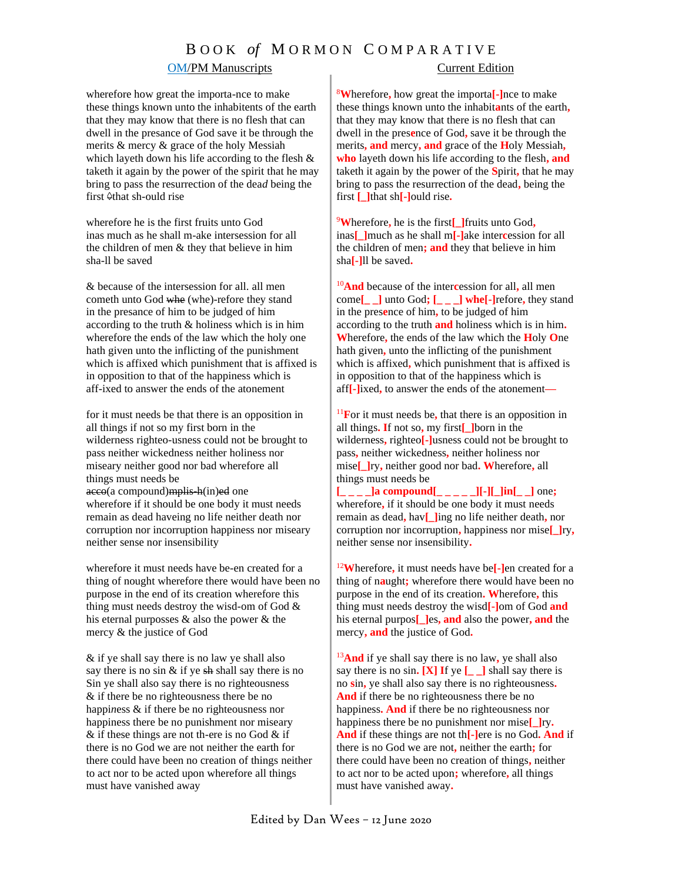## B O O K *of* M O R M O N C O M P A R A T I V E

## OM/PM Manuscripts Current Edition

## wherefore how great the importa-nce to make these things known unto the inhabitents of the earth that they may know that there is no flesh that can dwell in the presance of God save it be through the merits & mercy & grace of the holy Messiah which layeth down his life according to the flesh & taketh it again by the power of the spirit that he may bring to pass the resurrection of the dea*d* being the first  $\triangle$ that sh-ould rise

wherefore he is the first fruits unto God inas much as he shall m-ake intersession for all the children of men & they that believe in him sha-ll be saved

& because of the intersession for all. all men cometh unto God whe (whe)-refore they stand in the presance of him to be judged of him according to the truth & holiness which is in him wherefore the ends of the law which the holy one hath given unto the inflicting of the punishment which is affixed which punishment that is affixed is in opposition to that of the happiness which is aff-ixed to answer the ends of the atonement

for it must needs be that there is an opposition in all things if not so my first born in the wilderness righteo-usness could not be brought to pass neither wickedness neither holiness nor miseary neither good nor bad wherefore all things must needs be acco(a compound) mplis-h(in)ed one wherefore if it should be one body it must needs remain as dead haveing no life neither death nor corruption nor incorruption happiness nor miseary neither sense nor insensibility

wherefore it must needs have be-en created for a thing of nought wherefore there would have been no purpose in the end of its creation wherefore this thing must needs destroy the wisd-om of God & his eternal purposses & also the power & the mercy & the justice of God

& if ye shall say there is no law ye shall also say there is no sin  $&$  if ye sh shall say there is no Sin ye shall also say there is no righteousness & if there be no righteousness there be no happi*n*ess & if there be no righteousness nor happiness there be no punishment nor miseary & if these things are not th-ere is no God & if there is no God we are not neither the earth for there could have been no creation of things neither to act nor to be acted upon wherefore all things must have vanished away

<sup>8</sup>**W**herefore**,** how great the importa**[-]**nce to make these things known unto the inhabit**a**nts of the earth**,**  that they may know that there is no flesh that can dwell in the pres**e**nce of God**,** save it be through the merits**, and** mercy**, and** grace of the **H**oly Messiah**, who** layeth down his life according to the flesh**, and**  taketh it again by the power of the **S**pirit**,** that he may bring to pass the resurrection of the dead**,** being the first **[\_]**that sh**[-]**ould rise**.**

<sup>9</sup>**W**herefore**,** he is the first**[\_]**fruits unto God**,** inas**[\_]**much as he shall m**[-]**ake inter**c**ession for all the children of men**; and** they that believe in him sha**[-]**ll be saved**.**

<sup>10</sup>**And** because of the inter**c**ession for all**,** all men come**[\_ \_]** unto God**; [\_ \_ \_] whe[-]**refore**,** they stand in the pres**e**nce of him**,** to be judged of him according to the truth **and** holiness which is in him**. W**herefore**,** the ends of the law which the **H**oly **O**ne hath given**,** unto the inflicting of the punishment which is affixed**,** which punishment that is affixed is in opposition to that of the happiness which is aff**[-]**ixed**,** to answer the ends of the atonement**—**

<sup>11</sup>**F**or it must needs be**,** that there is an opposition in all things**. I**f not so**,** my first**[\_]**born in the wilderness**,** righteo**[-]**usness could not be brought to pass**,** neither wickedness**,** neither holiness nor mise**[\_]**ry**,** neither good nor bad**. W**herefore**,** all things must needs be

**[\_ \_ \_ \_]a compound[\_ \_ \_ \_ \_][-][\_]in[\_ \_]** one**;**  wherefore**,** if it should be one body it must needs remain as dead**,** hav**[\_]**ing no life neither death**,** nor corruption nor incorruption**,** happiness nor mise**[\_]**ry**,** neither sense nor insensibility**.**

<sup>12</sup>**W**herefore**,** it must needs have be**[-]**en created for a thing of n**a**ught**;** wherefore there would have been no purpose in the end of its creation**. W**herefore**,** this thing must needs destroy the wisd**[-]**om of God **and** his eternal purpos**[\_]**es**, and** also the power**, and** the mercy**, and** the justice of God**.**

<sup>13</sup>**And** if ye shall say there is no law**,** ye shall also say there is no sin**. [X] I**f ye **[\_ \_]** shall say there is no **s**in**,** ye shall also say there is no righteousness**. And** if there be no righteousness there be no happiness**. And** if there be no righteousness nor happiness there be no punishment nor mise**[\_]**ry**. And** if these things are not th**[-]**ere is no God**. And** if there is no God we are not**,** neither the earth**;** for there could have been no creation of things**,** neither to act nor to be acted upon**;** wherefore**,** all things must have vanished away**.**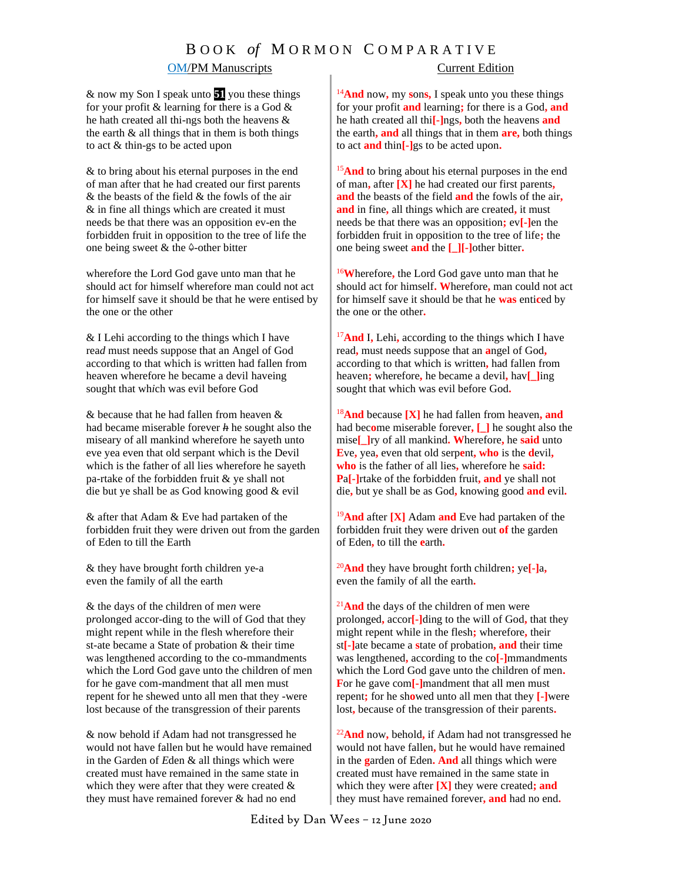# B O O K *of* M O R M O N C O M P A R A T I V E

## OM/PM Manuscripts Current Edition

& now my Son I speak unto **51** you these things for your profit & learning for there is a God & he hath created all thi-ngs both the heavens & the earth  $\&$  all things that in them is both things to act & thin-gs to be acted upon

& to bring about his eternal purposes in the end of man after that he had created our first parents & the beasts of the field & the fowls of the air & in fine all things which are created it must needs be that there was an opposition ev-en the forbidden fruit in opposition to the tree of life the one being sweet  $&$  the  $&$ -other bitter

wherefore the Lord God gave unto man that he should act for himself wherefore man could not act for himself save it should be that he were entised by the one or the other

& I Lehi according to the things which I have rea*d* must needs suppose that an Angel of God according to that which is written had fallen from heaven wherefore he became a devil haveing sought that wh*i*ch was evil before God

& because that he had fallen from heaven & had became miserable forever *h* he sought also the miseary of all mankind wherefore he sayeth unto eve yea even that old serpant which is the Devil which is the father of all lies wherefore he sayeth pa-rtake of the forbidden fruit & ye shall not die but ye shall be as God knowing good & evil

& after that Adam & Eve had partaken of the forbidden fruit they were driven out from the garden of Eden to till the Earth

& they have brought forth children ye-a even the family of all the earth

& the days of the children of me*n* were p*r*olonged accor-ding to the will of God that they might repent while in the flesh wherefore their st-ate became a State of probation & their time was lengthened according to the co-mmandments which the Lord God gave unto the children of men for he gave com-mandment that all men must repent for he shewed unto all men that they -were lost because of the transgression of their parents

& now behold if Adam had not transgressed he would not have fallen but he would have remained in the Garden of *E*den & all things which were created must have remained in the same state in which they were after that they were created & they must have remained forever & had no end

<sup>14</sup>**And** now**,** my **s**on**s,** I speak unto you these things for your profit **and** learning**;** for there is a God**, and** he hath created all thi**[-]**ngs**,** both the heavens **and** the earth**, and** all things that in them **are,** both things to act **and** thin**[-]**gs to be acted upon**.**

<sup>15</sup>And to bring about his eternal purposes in the end of man**,** after **[X]** he had created our first parents**, and** the beasts of the field **and** the fowls of the air**, and** in fine**,** all things which are created**,** it must needs be that there was an opposition**;** ev**[-]**en the forbidden fruit in opposition to the tree of life**;** the one being sweet **and** the **[\_][-]**other bitter**.**

<sup>16</sup>**W**herefore**,** the Lord God gave unto man that he should act for himself**. W**herefore**,** man could not act for himself save it should be that he **was** enti**c**ed by the one or the other**.** 

<sup>17</sup>**And** I**,** Lehi**,** according to the things which I have read**,** must needs suppose that an **a**ngel of God**,** according to that which is written**,** had fallen from heaven**;** wherefore**,** he became a devil**,** hav**[\_]**ing sought that which was evil before God**.**

<sup>18</sup>**And** because **[X]** he had fallen from heaven**, and** had bec**o**me miserable forever**, [\_]** he sought also the mise**[\_]**ry of all mankind**. W**herefore**,** he **said** unto **E**ve**,** yea**,** even that old serp**e**nt**, who** is the **d**evil**, who** is the father of all lies**,** wherefore he **said: P**a**[-]**rtake of the forbidden fruit**, and** ye shall not die**,** but ye shall be as God**,** knowing good **and** evil**.**

<sup>19</sup>**And** after **[X]** Adam **and** Eve had partaken of the forbidden fruit they were driven out **of** the garden of Eden**,** to till the **e**arth**.**

<sup>20</sup>**And** they have brought forth children**;** ye**[-]**a**,** even the family of all the earth**.**

<sup>21</sup>**And** the days of the children of men were prolonged**,** accor**[-]**ding to the will of God**,** that they might repent while in the flesh**;** wherefore**,** their st**[-]**ate became a **s**tate of probation**, and** their time was lengthened**,** according to the co**[-]**mmandments which the Lord God gave unto the children of men**. F**or he gave com**[-]**mandment that all men must repent**;** for he sh**o**wed unto all men that they **[-]**were lost**,** because of the transgression of their parents**.**

<sup>22</sup>**And** now**,** behold**,** if Adam had not transgressed he would not have fallen**,** but he would have remained in the **g**arden of Eden**. And** all things which were created must have remained in the same state in which they were after **[X]** they were created**; and** they must have remained forever**, and** had no end**.**